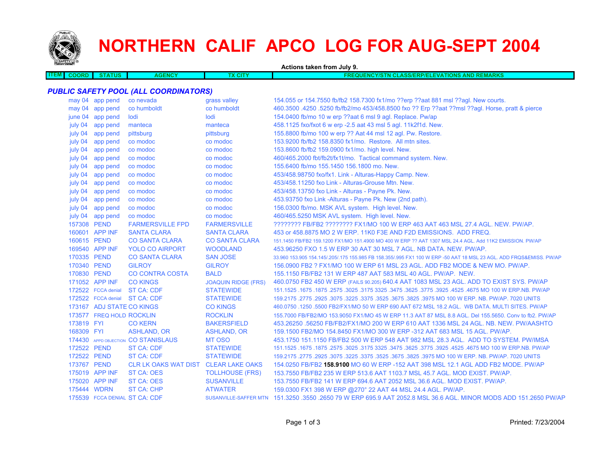

# **NORTHERN CALIF APCO LOG FOR AUG-SEPT 2004**

|                             |                           |                                              |                            | Actions taken from July 9.                                                                                          |
|-----------------------------|---------------------------|----------------------------------------------|----------------------------|---------------------------------------------------------------------------------------------------------------------|
| <b>ITEM</b><br><b>COORD</b> | <b>STATUS</b>             | <b>AGENCY</b>                                | <b>TX CITY</b>             | <b>FREQUENCY/STN CLASS/ERP/ELEVATIONS AND REMARKS</b>                                                               |
|                             |                           |                                              |                            |                                                                                                                     |
|                             |                           | <b>PUBLIC SAFETY POOL (ALL COORDINATORS)</b> |                            |                                                                                                                     |
|                             | may 04 app pend           | co nevada                                    | grass valley               | 154.055 or 154.7550 fb/fb2 158.7300 fx1/mo ??erp ??aat 881 msl ??agl. New courts.                                   |
|                             | may 04 app pend           | co humboldt                                  | co humboldt                | 460.3500 .4250 .5250 fb/fb2/mo 453/458.8500 fxo ?? Erp ??aat ??msl ??agl. Horse, pratt & pierce                     |
|                             | june 04 app pend          | lodi                                         | lodi                       | 154.0400 fb/mo 10 w erp ??aat 6 msl 9 agl. Replace. Pw/ap                                                           |
| july 04                     | app pend                  | manteca                                      | manteca                    | 458.1125 fxo/fxot 6 w erp -2.5 aat 43 msl 5 agl. 11k2f1d. New.                                                      |
| july 04                     | app pend                  | pittsburg                                    | pittsburg                  | 155.8800 fb/mo 100 w erp ?? Aat 44 msl 12 agl. Pw. Restore.                                                         |
| july 04                     | app pend                  | co modoc                                     | co modoc                   | 153.9200 fb/fb2 158.8350 fx1/mo. Restore. All mtn sites.                                                            |
| july 04                     | app pend                  | co modoc                                     | co modoc                   | 153.8600 fb/fb2 159.0900 fx1/mo. high level. New.                                                                   |
|                             | july 04 app pend          | co modoc                                     | co modoc                   | 460/465.2000 fbt/fb2t/fx1t/mo. Tactical command system. New.                                                        |
| july 04                     | app pend                  | co modoc                                     | co modoc                   | 155.6400 fb/mo 155.1450 156.1800 mo. New.                                                                           |
| july 04                     | app pend                  | co modoc                                     | co modoc                   | 453/458.98750 fxo/fx1. Link - Alturas-Happy Camp. New.                                                              |
| july 04                     | app pend                  | co modoc                                     | co modoc                   | 453/458.11250 fxo Link - Alturas-Grouse Mtn. New.                                                                   |
| july 04                     | app pend                  | co modoc                                     | co modoc                   | 453/458.13750 fxo Link - Alturas - Payne Pk. New.                                                                   |
| july 04                     | app pend                  | co modoc                                     | co modoc                   | 453.93750 fxo Link -Alturas - Payne Pk. New (2nd path).                                                             |
|                             | july 04 app pend          | co modoc                                     | co modoc                   | 156.0300 fb/mo. MSK AVL system. High level. New.                                                                    |
|                             | july 04 app pend          | co modoc                                     | co modoc                   | 460/465.5250 MSK AVL system. High level. New.                                                                       |
| 157308 PEND                 |                           | <b>FARMERSVILLE FPD</b>                      | <b>FARMERSVILLE</b>        | ???????? FB/FB2 ???????? FX1/MO 100 W ERP 463 AAT 463 MSL 27.4 AGL. NEW. PW/AP.                                     |
|                             | 160601 APP INF            | <b>SANTA CLARA</b>                           | <b>SANTA CLARA</b>         | 453 or 458,8875 MO 2 W ERP, 11K0 F3E AND F2D EMISSIONS. ADD FREQ.                                                   |
| 160615 PEND                 |                           | <b>CO SANTA CLARA</b>                        | <b>CO SANTA CLARA</b>      | 151.1450 FB/FB2 159.1200 FX1/MO 151.4900 MO 400 W ERP ?? AAT 1307 MSL 24.4 AGL. Add 11K2 EMISSION. PW/AP            |
|                             | 169540 APP INF            | <b>YOLO CO AIRPORT</b>                       | <b>WOODLAND</b>            | 453,96250 FXO 1.5 W ERP 30 AAT 30 MSL 7 AGL, NB DATA, NEW, PW/AP.                                                   |
| 170335 PEND                 |                           | <b>CO SANTA CLARA</b>                        | <b>SAN JOSE</b>            | 33.960 153.905 154.145/.205/.175 155.985 FB 158.355/.995 FX1 100 W ERP -50 AAT 18 MSL 23 AGL. ADD FRQS&EMISS. PW/AP |
| 170340 PEND                 |                           | <b>GILROY</b>                                | <b>GILROY</b>              | 156,0900 FB2 ? FX1/MO 100 W ERP 61 MSL 23 AGL, ADD FB2 MODE & NEW MO, PW/AP.                                        |
| 170830 PEND                 |                           | <b>CO CONTRA COSTA</b>                       | <b>BALD</b>                | 155,1150 FB/FB2 131 W ERP 487 AAT 583 MSL 40 AGL, PW/AP, NEW.                                                       |
|                             | 171052 APP INF            | <b>CO KINGS</b>                              | <b>JOAQUIN RIDGE (FRS)</b> | 460.0750 FB2 450 W ERP (FAILS 90.205) 640.4 AAT 1083 MSL 23 AGL. ADD TO EXIST SYS. PW/AP                            |
|                             | 172522 FCCA denial        | ST CA: CDF                                   | <b>STATEWIDE</b>           | 151.1525 .1675 .1675 .3025 .3175 .3625 .3775 .3625 .3775 .3925 .3775 .3925 .4675 .1675 .1675 .1675 .                |
|                             | 172522 FCCA denial        | <b>ST CA: CDF</b>                            | <b>STATEWIDE</b>           | 159.2175 .2775 .2925 .3075 .3225 .3675 .3825 .3975 MO 100 W ERP. NB. PW/AP. 7020 UNITS                              |
|                             | 173167 ADJ STATE CO KINGS |                                              | <b>CO KINGS</b>            | 460.0750 .1250 .5500 FB2/FX1/MO 50 W ERP 690 AAT 672 MSL 18.2 AGL. WB DATA. MULTI SITES. PW/AP                      |
|                             | 173577 FREQ HOLD ROCKLIN  |                                              | <b>ROCKLIN</b>             | 155,7000 FB/FB2/MO 153,9050 FX1/MO 45 W ERP 11.3 AAT 87 MSL 8.8 AGL, Del 155,5650, Conv to fb2, PW/AP               |
| 173819 FYI                  |                           | <b>CO KERN</b>                               | <b>BAKERSFIELD</b>         | 453.26250 .56250 FB/FB2/FX1/MO 200 W ERP 610 AAT 1336 MSL 24 AGL. NB. NEW. PW/AASHTO                                |
| 168309 FYI                  |                           | <b>ASHLAND, OR</b>                           | <b>ASHLAND, OR</b>         | 159.1500 FB2/MO 154.8450 FX1/MO 300 W ERP -312 AAT 683 MSL 15 AGL, PW/AP.                                           |
|                             |                           | 174430 APPD OBJECTION CO STANISLAUS          | MT OSO                     | 453.1750 151.1150 FB/FB2 500 W ERP 548 AAT 982 MSL 28.3 AGL. ADD TO SYSTEM. PW/IMSA                                 |
| 172522 PEND                 |                           | <b>ST CA: CDF</b>                            | <b>STATEWIDE</b>           | 151.1525 .1675 NO 100 W ERP.NB. PW/AP .2575 .3625 .3475 .3475 .3625 .3475 .3625 .3025 .1675 .1675 .1675 .1675       |
| 172522 PEND                 |                           | <b>ST CA: CDF</b>                            | <b>STATEWIDE</b>           | 159.2175 .2775 .2925 .3075 .3225 .3675 .3625 .3675 .3825 .3975 MO 100 W ERP. NB. PW/AP. 7020 UNITS                  |
| 173767 PEND                 |                           | CLR LK OAKS WAT DIST CLEAR LAKE OAKS         |                            | 154.0250 FB/FB2 158.9100 MO 60 W ERP -152 AAT 398 MSL 12.1 AGL ADD FB2 MODE. PW/AP                                  |
|                             | 175019 APP INF            | <b>ST CA: OES</b>                            | <b>TOLLHOUSE (FRS)</b>     | 153.7550 FB/FB2 235 W ERP 513.6 AAT 1103.7 MSL 45.7 AGL, MOD EXIST, PW/AP.                                          |
|                             | 175020 APP INF            | ST CA: OES                                   | <b>SUSANVILLE</b>          | 153.7550 FB/FB2 141 W ERP 694.6 AAT 2052 MSL 36.6 AGL. MOD EXIST. PW/AP.                                            |
|                             | 175444 WDRN               | ST CA: CHP                                   | <b>ATWATER</b>             | 159.0300 FX1 398 W ERP @270° 22 AAT 44 MSL 24.4 AGL. PW/AP.                                                         |
|                             |                           | 175539 FCCA DENIAL ST CA: CDF                |                            | SUSANVILLE-SAFFER MTN 151.3250 .3550 .2650 79 W ERP 695.9 AAT 2052.8 MSL 36.6 AGL. MINOR MODS ADD 151.2650 PW/AP    |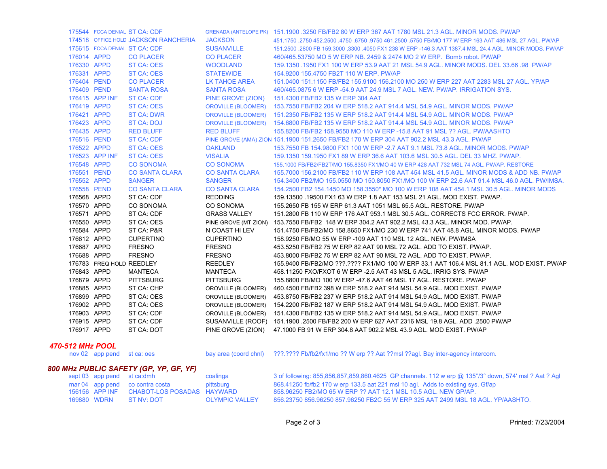|             |                          | 175544 FCCA DENIAL ST CA: CDF        |                           | GRENADA (ANTELOPE PK) 151.1900 .3250 FB/FB2 80 W ERP 367 AAT 1780 MSL 21.3 AGL. MINOR MODS. PW/AP      |
|-------------|--------------------------|--------------------------------------|---------------------------|--------------------------------------------------------------------------------------------------------|
|             |                          | 174518 OFFICE HOLD JACKSON RANCHERIA | <b>JACKSON</b>            | 451,1750 .2750 452,2500 .4750 .6750 .9750 461,2500 .5750 FB/MO 177 W ERP 163 AAT 486 MSL 27 AGL. PW/AP |
|             |                          | 175615 FCCA DENIAL ST CA: CDF        | <b>SUSANVILLE</b>         | 151.2500 .2800 FB 159.3000 ,3300 .4050 FX1 238 W ERP -146.3 AAT 1387.4 MSL 24.4 AGL. MINOR MODS. PW/AP |
| 176014 APPD |                          | <b>CO PLACER</b>                     | <b>CO PLACER</b>          | 460/465.53750 MO 5 W ERP NB, 2459 & 2474 MO 2 W ERP. Bomb robot, PW/AP                                 |
| 176330 APPD |                          | <b>ST CA: OES</b>                    | <b>WOODLAND</b>           | 159.1350 .1950 FX1 100 W ERP 53.9 AAT 21 MSL 54.9 AGL, MINOR MODS, DEL 33.66 .98 PW/AP                 |
| 176331 APPD |                          | <b>ST CA: OES</b>                    | <b>STATEWIDE</b>          | 154.9200 155.4750 FB2T 110 W ERP. PW/AP                                                                |
| 176404 PEND |                          | <b>CO PLACER</b>                     | <b>LK TAHOE AREA</b>      | 151.0400 151.1150 FB/FB2 155.9100 156.2100 MO 250 W ERP 227 AAT 2283 MSL 27 AGL. YP/AP                 |
| 176409 PEND |                          | <b>SANTA ROSA</b>                    | <b>SANTA ROSA</b>         | 460/465,0875 6 W ERP -54.9 AAT 24.9 MSL 7 AGL, NEW, PW/AP, IRRIGATION SYS.                             |
|             | 176415 APP INF           | <b>ST CA: CDF</b>                    | PINE GROVE (ZION)         | 151.4300 FB/FB2 135 W ERP 304 AAT                                                                      |
| 176419 APPD |                          | <b>ST CA: OES</b>                    | <b>OROVILLE (BLOOMER)</b> | 153.7550 FB/FB2 204 W ERP 518.2 AAT 914.4 MSL 54.9 AGL, MINOR MODS, PW/AP                              |
| 176421 APPD |                          | <b>ST CA: DWR</b>                    |                           | OROVILLE (BLOOMER) 151.2350 FB/FB2 135 W ERP 518.2 AAT 914.4 MSL 54.9 AGL. MINOR MODS, PW/AP           |
| 176423 APPD |                          | <b>ST CA: DOJ</b>                    |                           | OROVILLE (BLOOMER) 154.6800 FB/FB2 135 W ERP 518.2 AAT 914.4 MSL 54.9 AGL. MINOR MODS. PW/AP           |
| 176435 APPD |                          | <b>RED BLUFF</b>                     | <b>RED BLUFF</b>          | 155,8200 FB/FB2 158,9550 MO 110 W ERP -15.8 AAT 91 MSL ?? AGL, PW/AASHTO                               |
| 176516 PEND |                          | <b>ST CA: CDF</b>                    |                           | PINE GROVE (AMA) ZION 151.1900 151.2650 FB/FB2 170 W ERP 304 AAT 902.2 MSL 43.3 AGL. PW/AP             |
| 176522 APPD |                          | <b>ST CA: OES</b>                    | <b>OAKLAND</b>            | 153.7550 FB 154.9800 FX1 100 W ERP - 2.7 AAT 9.1 MSL 73.8 AGL, MINOR MODS, PW/AP                       |
|             | 176523 APP INF           | <b>ST CA: OES</b>                    | <b>VISALIA</b>            | 159.1350 159.1950 FX1 89 W ERP 36.6 AAT 103.6 MSL 30.5 AGL, DEL 33 MHZ, PW/AP,                         |
| 176548 APPD |                          | <b>CO SONOMA</b>                     | <b>CO SONOMA</b>          | 155.1000 FB/FB2/FB2T/MO 155.8350 FX1/MO 40 W ERP 428 AAT 732 MSL 74 AGL, PW/AP, RESTORE                |
| 176551 PEND |                          | <b>CO SANTA CLARA</b>                | <b>CO SANTA CLARA</b>     | 155,7000 156,2100 FB/FB2 110 W ERP 108 AAT 454 MSL 41.5 AGL, MINOR MODS & ADD NB, PW/AP                |
| 176552 APPD |                          | <b>SANGER</b>                        | <b>SANGER</b>             | 154,3400 FB2/MO 155,0550 MO 150,8050 FX1/MO 100 W ERP 22.6 AAT 91.4 MSL 46.0 AGL, PW/IMSA,             |
| 176558 PEND |                          | <b>CO SANTA CLARA</b>                | <b>CO SANTA CLARA</b>     | 154,2500 FB2 154,1450 MO 158,3550* MO 100 W ERP 108 AAT 454,1 MSL 30.5 AGL, MINOR MODS                 |
| 176568 APPD |                          | ST CA: CDF                           | <b>REDDING</b>            | 159.13500 .19500 FX1 63 W ERP 1.8 AAT 153 MSL 21 AGL. MOD EXIST. PW/AP.                                |
| 176570 APPD |                          | CO SONOMA                            | CO SONOMA                 | 155.2650 FB 155 W ERP 61.3 AAT 1051 MSL 65.5 AGL. RESTORE. PW/AP                                       |
| 176571 APPD |                          | ST CA: CDF                           | <b>GRASS VALLEY</b>       | 151.2800 FB 110 W ERP 176 AAT 953.1 MSL 30.5 AGL. CORRECTS FCC ERROR. PW/AP.                           |
| 176550 APPD |                          | ST CA: OES                           |                           | PINE GROVE (MT ZION) 153.7550 FB/FB2 148 W ERP 304.2 AAT 902.2 MSL 43.3 AGL. MINOR MOD. PW/AP.         |
| 176584 APPD |                          | ST CA: P&R                           | N COAST HI LEV            | 151.4750 FB/FB2/MO 158.8650 FX1/MO 230 W ERP 741 AAT 48.8 AGL. MINOR MODS, PW/AP                       |
| 176612 APPD |                          | <b>CUPERTINO</b>                     | <b>CUPERTINO</b>          | 158.9250 FB/MO 55 W ERP -109 AAT 110 MSL 12 AGL. NEW. PW/IMSA                                          |
| 176687 APPD |                          | <b>FRESNO</b>                        | <b>FRESNO</b>             | 453.5250 FB/FB2 75 W ERP 82 AAT 90 MSL 72 AGL. ADD TO EXIST. PW/AP.                                    |
| 176688 APPD |                          | <b>FRESNO</b>                        | <b>FRESNO</b>             | 453,8000 FB/FB2 75 W ERP 82 AAT 90 MSL 72 AGL, ADD TO EXIST, PW/AP.                                    |
|             | 176783 FREQ HOLD REEDLEY |                                      | <b>REEDLEY</b>            | 155.9400 FB/FB2/MO ???.???? FX1/MO 100 W ERP 33.1 AAT 106.4 MSL 81.1 AGL. MOD EXIST. PW/AP             |
| 176843 APPD |                          | <b>MANTECA</b>                       | <b>MANTECA</b>            | 458,11250 FXO/FXOT 6 W ERP - 2.5 AAT 43 MSL 5 AGL. IRRIG SYS, PW/AP                                    |
| 176879 APPD |                          | <b>PITTSBURG</b>                     | <b>PITTSBURG</b>          | 155,8800 FB/MO 100 W ERP -47.6 AAT 46 MSL 17 AGL, RESTORE, PW/AP                                       |
| 176885 APPD |                          | ST CA: CHP                           | OROVILLE (BLOOMER)        | 460.4500 FB/FB2 398 W ERP 518.2 AAT 914 MSL 54.9 AGL, MOD EXIST, PW/AP                                 |
| 176899 APPD |                          | ST CA: OES                           | OROVILLE (BLOOMER)        | 453.8750 FB/FB2 237 W ERP 518.2 AAT 914 MSL 54.9 AGL, MOD EXIST, PW/AP                                 |
| 176902 APPD |                          | ST CA: OES                           | OROVILLE (BLOOMER)        | 154.2200 FB/FB2 187 W ERP 518.2 AAT 914 MSL 54.9 AGL, MOD EXIST, PW/AP                                 |
| 176903 APPD |                          | ST CA: CDF                           | OROVILLE (BLOOMER)        | 151.4300 FB/FB2 135 W ERP 518.2 AAT 914 MSL 54.9 AGL, MOD EXIST, PW/AP                                 |
| 176915 APPD |                          | ST CA: CDF                           |                           | SUSANVILLE (ROOF) 151.1900 .2500 FB/FB2 200 W ERP 627 AAT 2316 MSL 19.8 AGL. ADD .2500 PW/AP           |
| 176917 APPD |                          | ST CA: DOT                           |                           | PINE GROVE (ZION) 47.1000 FB 91 W ERP 304.8 AAT 902.2 MSL 43.9 AGL. MOD EXIST. PW/AP                   |
|             |                          |                                      |                           |                                                                                                        |

#### *470-512 MHz POOL*nov 02 app pend st ca: oes

bay area (coord chnl) ???.???? Fb/fb2/fx1/mo ?? W erp ?? Aat ??msl ??agl. Bay inter-agency intercom.

# *800 MHz PUBLIC SAFETY (GP, YP, GF, YF)*

|  | sept 03 app pend st ca:dmh                | coalinga              | 3 of following: 855,856,857,859,860.4625 GP channels. 112 w erp @ 135°/3° down, 574' msl ? Aat ? Agl |
|--|-------------------------------------------|-----------------------|------------------------------------------------------------------------------------------------------|
|  | mar 04 app pend co contra costa           | pittsburg             | 868.41250 fb/fb2 170 w erp 133.5 aat 221 msl 10 agl. Adds to existing sys. Gf/ap                     |
|  | 156156 APP INF CHABOT-LOS POSADAS HAYWARD |                       | 858.96250 FB2/MO 65 W ERP ?? AAT 12.1 MSL 10.5 AGL. NEW GP/AP.                                       |
|  | 169880 WDRN ST NV: DOT                    | <b>OLYMPIC VALLEY</b> | 856.23750 856.96250 857.96250 FB2C 55 W ERP 325 AAT 2499 MSL 18 AGL. YP/AASHTO.                      |